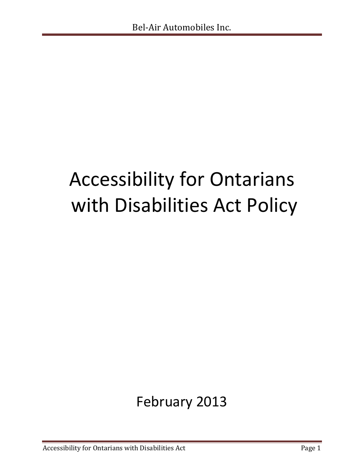# Accessibility for Ontarians with Disabilities Act Policy

## February 2013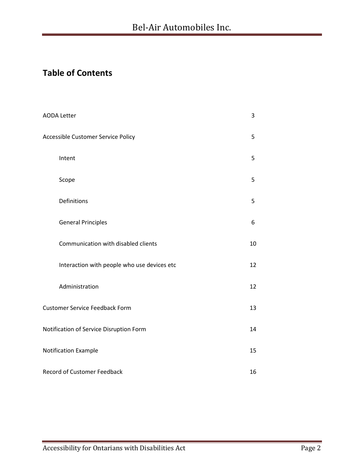## **Table of Contents**

| <b>AODA Letter</b>                          | 3  |  |
|---------------------------------------------|----|--|
| Accessible Customer Service Policy          | 5  |  |
| Intent                                      | 5  |  |
| Scope                                       | 5  |  |
| Definitions                                 | 5  |  |
| <b>General Principles</b>                   | 6  |  |
| Communication with disabled clients         | 10 |  |
| Interaction with people who use devices etc | 12 |  |
| Administration                              | 12 |  |
| <b>Customer Service Feedback Form</b>       | 13 |  |
| Notification of Service Disruption Form     | 14 |  |
| Notification Example                        | 15 |  |
| Record of Customer Feedback                 |    |  |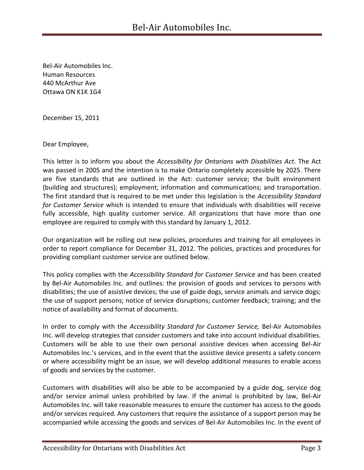Bel-Air Automobiles Inc. Human Resources 440 McArthur Ave Ottawa ON K1K 1G4

December 15, 2011

Dear Employee,

This letter is to inform you about the *Accessibility for Ontarians with Disabilities Act*. The Act was passed in 2005 and the intention is to make Ontario completely accessible by 2025. There are five standards that are outlined in the Act: customer service; the built environment (building and structures); employment; information and communications; and transportation. The first standard that is required to be met under this legislation is the *Accessibility Standard for Customer Service* which is intended to ensure that individuals with disabilities will receive fully accessible, high quality customer service. All organizations that have more than one employee are required to comply with this standard by January 1, 2012.

Our organization will be rolling out new policies, procedures and training for all employees in order to report compliance for December 31, 2012. The policies, practices and procedures for providing compliant customer service are outlined below.

This policy complies with the *Accessibility Standard for Customer Service* and has been created by Bel-Air Automobiles Inc. and outlines: the provision of goods and services to persons with disabilities; the use of assistive devices; the use of guide dogs, service animals and service dogs; the use of support persons; notice of service disruptions; customer feedback; training; and the notice of availability and format of documents.

In order to comply with the *Accessibility Standard for Customer Service,* Bel-Air Automobiles Inc. will develop strategies that consider customers and take into account individual disabilities. Customers will be able to use their own personal assistive devices when accessing Bel-Air Automobiles Inc.'s services, and in the event that the assistive device presents a safety concern or where accessibility might be an issue, we will develop additional measures to enable access of goods and services by the customer.

Customers with disabilities will also be able to be accompanied by a guide dog, service dog and/or service animal unless prohibited by law. If the animal is prohibited by law, Bel-Air Automobiles Inc. will take reasonable measures to ensure the customer has access to the goods and/or services required. Any customers that require the assistance of a support person may be accompanied while accessing the goods and services of Bel-Air Automobiles Inc. In the event of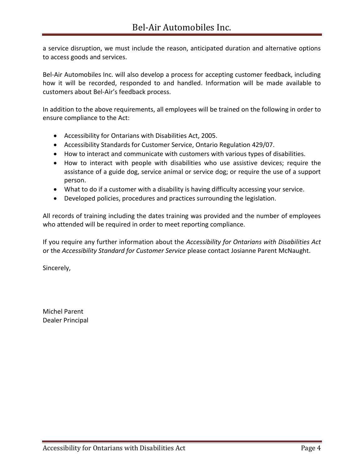a service disruption, we must include the reason, anticipated duration and alternative options to access goods and services.

Bel-Air Automobiles Inc. will also develop a process for accepting customer feedback, including how it will be recorded, responded to and handled. Information will be made available to customers about Bel-Air's feedback process.

In addition to the above requirements, all employees will be trained on the following in order to ensure compliance to the Act:

- Accessibility for Ontarians with Disabilities Act, 2005.
- Accessibility Standards for Customer Service, Ontario Regulation 429/07.
- How to interact and communicate with customers with various types of disabilities.
- How to interact with people with disabilities who use assistive devices; require the assistance of a guide dog, service animal or service dog; or require the use of a support person.
- What to do if a customer with a disability is having difficulty accessing your service.
- Developed policies, procedures and practices surrounding the legislation.

All records of training including the dates training was provided and the number of employees who attended will be required in order to meet reporting compliance.

If you require any further information about the *Accessibility for Ontarians with Disabilities Act* or the *Accessibility Standard for Customer Service* please contact Josianne Parent McNaught.

Sincerely,

Michel Parent Dealer Principal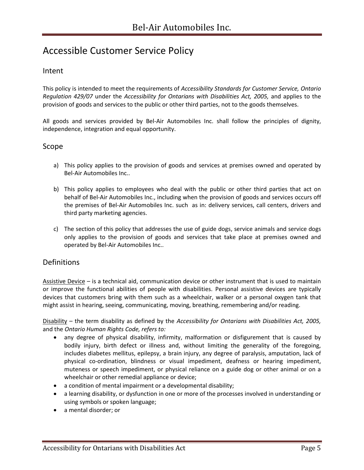## Accessible Customer Service Policy

#### Intent

This policy is intended to meet the requirements of *Accessibility Standards for Customer Service, Ontario Regulation 429/07* under the *Accessibility for Ontarians with Disabilities Act, 2005,* and applies to the provision of goods and services to the public or other third parties, not to the goods themselves.

All goods and services provided by Bel-Air Automobiles Inc. shall follow the principles of dignity, independence, integration and equal opportunity.

#### Scope

- a) This policy applies to the provision of goods and services at premises owned and operated by Bel-Air Automobiles Inc..
- b) This policy applies to employees who deal with the public or other third parties that act on behalf of Bel-Air Automobiles Inc., including when the provision of goods and services occurs off the premises of Bel-Air Automobiles Inc. such as in: delivery services, call centers, drivers and third party marketing agencies.
- c) The section of this policy that addresses the use of guide dogs, service animals and service dogs only applies to the provision of goods and services that take place at premises owned and operated by Bel-Air Automobiles Inc..

#### **Definitions**

Assistive Device – is a technical aid, communication device or other instrument that is used to maintain or improve the functional abilities of people with disabilities. Personal assistive devices are typically devices that customers bring with them such as a wheelchair, walker or a personal oxygen tank that might assist in hearing, seeing, communicating, moving, breathing, remembering and/or reading.

Disability – the term disability as defined by the *Accessibility for Ontarians with Disabilities Act, 2005,* and the *Ontario Human Rights Code, refers to:*

- any degree of physical disability, infirmity, malformation or disfigurement that is caused by bodily injury, birth defect or illness and, without limiting the generality of the foregoing, includes diabetes mellitus, epilepsy, a brain injury, any degree of paralysis, amputation, lack of physical co-ordination, blindness or visual impediment, deafness or hearing impediment, muteness or speech impediment, or physical reliance on a guide dog or other animal or on a wheelchair or other remedial appliance or device;
- a condition of mental impairment or a developmental disability;
- a learning disability, or dysfunction in one or more of the processes involved in understanding or using symbols or spoken language;
- a mental disorder; or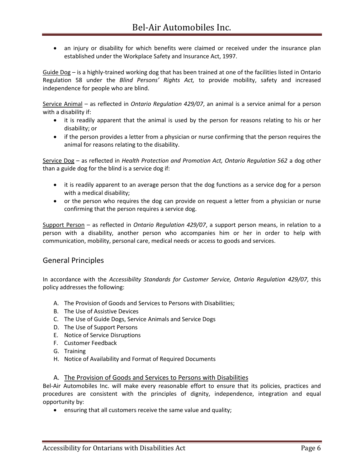an injury or disability for which benefits were claimed or received under the insurance plan established under the Workplace Safety and Insurance Act, 1997.

Guide Dog – is a highly-trained working dog that has been trained at one of the facilities listed in Ontario Regulation 58 under the *Blind Persons' Rights Act,* to provide mobility, safety and increased independence for people who are blind.

Service Animal – as reflected in *Ontario Regulation 429/07*, an animal is a service animal for a person with a disability if:

- it is readily apparent that the animal is used by the person for reasons relating to his or her disability; or
- if the person provides a letter from a physician or nurse confirming that the person requires the animal for reasons relating to the disability.

Service Dog – as reflected in *Health Protection and Promotion Act, Ontario Regulation 562* a dog other than a guide dog for the blind is a service dog if:

- it is readily apparent to an average person that the dog functions as a service dog for a person with a medical disability;
- or the person who requires the dog can provide on request a letter from a physician or nurse confirming that the person requires a service dog.

Support Person – as reflected in *Ontario Regulation 429/07*, a support person means, in relation to a person with a disability, another person who accompanies him or her in order to help with communication, mobility, personal care, medical needs or access to goods and services.

#### General Principles

In accordance with the *Accessibility Standards for Customer Service, Ontario Regulation 429/07,* this policy addresses the following:

- A. The Provision of Goods and Services to Persons with Disabilities;
- B. The Use of Assistive Devices
- C. The Use of Guide Dogs, Service Animals and Service Dogs
- D. The Use of Support Persons
- E. Notice of Service Disruptions
- F. Customer Feedback
- G. Training
- H. Notice of Availability and Format of Required Documents

#### A. The Provision of Goods and Services to Persons with Disabilities

Bel-Air Automobiles Inc. will make every reasonable effort to ensure that its policies, practices and procedures are consistent with the principles of dignity, independence, integration and equal opportunity by:

ensuring that all customers receive the same value and quality;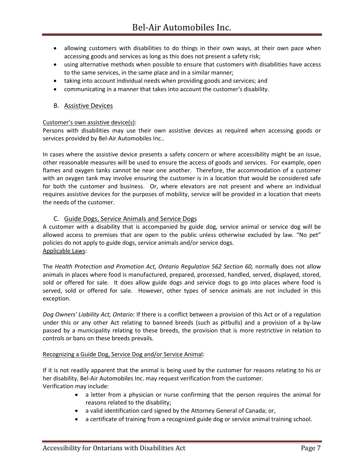- allowing customers with disabilities to do things in their own ways, at their own pace when accessing goods and services as long as this does not present a safety risk;
- using alternative methods when possible to ensure that customers with disabilities have access to the same services, in the same place and in a similar manner;
- taking into account individual needs when providing goods and services; and
- communicating in a manner that takes into account the customer's disability.

#### B. Assistive Devices

#### Customer's own assistive device(s):

Persons with disabilities may use their own assistive devices as required when accessing goods or services provided by Bel-Air Automobiles Inc..

In cases where the assistive device presents a safety concern or where accessibility might be an issue, other reasonable measures will be used to ensure the access of goods and services. For example, open flames and oxygen tanks cannot be near one another. Therefore, the accommodation of a customer with an oxygen tank may involve ensuring the customer is in a location that would be considered safe for both the customer and business. Or, where elevators are not present and where an individual requires assistive devices for the purposes of mobility, service will be provided in a location that meets the needs of the customer.

#### C. Guide Dogs, Service Animals and Service Dogs

A customer with a disability that is accompanied by guide dog, service animal or service dog will be allowed access to premises that are open to the public unless otherwise excluded by law. "No pet" policies do not apply to guide dogs, service animals and/or service dogs. Applicable Laws:

The *Health Protection and Promotion Act, Ontario Regulation 562 Section 60,* normally does not allow animals in places where food is manufactured, prepared, processed, handled, served, displayed, stored, sold or offered for sale. It does allow guide dogs and service dogs to go into places where food is served, sold or offered for sale. However, other types of service animals are not included in this exception.

*Dog Owners' Liability Act, Ontario*: If there is a conflict between a provision of this Act or of a regulation under this or any other Act relating to banned breeds (such as pitbulls) and a provision of a by-law passed by a municipality relating to these breeds, the provision that is more restrictive in relation to controls or bans on these breeds prevails.

#### Recognizing a Guide Dog, Service Dog and/or Service Animal:

If it is not readily apparent that the animal is being used by the customer for reasons relating to his or her disability, Bel-Air Automobiles Inc. may request verification from the customer. Verification may include:

- a letter from a physician or nurse confirming that the person requires the animal for reasons related to the disability;
- a valid identification card signed by the Attorney General of Canada; or,
- a certificate of training from a recognized guide dog or service animal training school.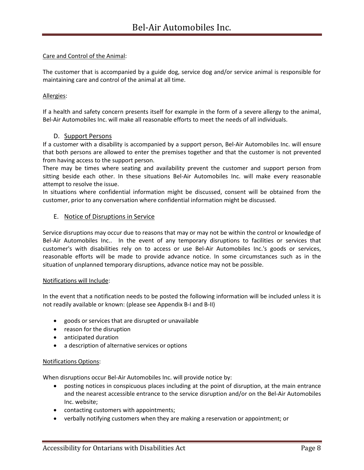#### Care and Control of the Animal:

The customer that is accompanied by a guide dog, service dog and/or service animal is responsible for maintaining care and control of the animal at all time.

#### Allergies:

If a health and safety concern presents itself for example in the form of a severe allergy to the animal, Bel-Air Automobiles Inc. will make all reasonable efforts to meet the needs of all individuals.

#### D. Support Persons

If a customer with a disability is accompanied by a support person, Bel-Air Automobiles Inc. will ensure that both persons are allowed to enter the premises together and that the customer is not prevented from having access to the support person.

There may be times where seating and availability prevent the customer and support person from sitting beside each other. In these situations Bel-Air Automobiles Inc. will make every reasonable attempt to resolve the issue.

In situations where confidential information might be discussed, consent will be obtained from the customer, prior to any conversation where confidential information might be discussed.

#### E. Notice of Disruptions in Service

Service disruptions may occur due to reasons that may or may not be within the control or knowledge of Bel-Air Automobiles Inc.. In the event of any temporary disruptions to facilities or services that customer's with disabilities rely on to access or use Bel-Air Automobiles Inc.'s goods or services, reasonable efforts will be made to provide advance notice. In some circumstances such as in the situation of unplanned temporary disruptions, advance notice may not be possible.

#### Notifications will Include:

In the event that a notification needs to be posted the following information will be included unless it is not readily available or known: (please see Appendix B-I and B-II)

- goods or services that are disrupted or unavailable
- reason for the disruption
- anticipated duration
- a description of alternative services or options

#### Notifications Options:

When disruptions occur Bel-Air Automobiles Inc. will provide notice by:

- posting notices in conspicuous places including at the point of disruption, at the main entrance and the nearest accessible entrance to the service disruption and/or on the Bel-Air Automobiles Inc. website;
- contacting customers with appointments;
- verbally notifying customers when they are making a reservation or appointment; or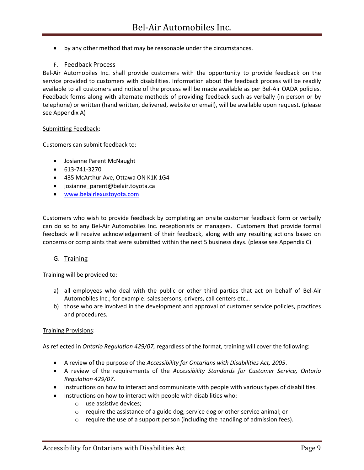by any other method that may be reasonable under the circumstances.

#### F. Feedback Process

Bel-Air Automobiles Inc. shall provide customers with the opportunity to provide feedback on the service provided to customers with disabilities. Information about the feedback process will be readily available to all customers and notice of the process will be made available as per Bel-Air OADA policies. Feedback forms along with alternate methods of providing feedback such as verbally (in person or by telephone) or written (hand written, delivered, website or email), will be available upon request. (please see Appendix A)

#### Submitting Feedback:

Customers can submit feedback to:

- Josianne Parent McNaught
- 613-741-3270
- 435 McArthur Ave, Ottawa ON K1K 1G4
- josianne parent@belair.toyota.ca
- [www.belairlexustoyota.com](http://www.belairlexustoyota.com/)

Customers who wish to provide feedback by completing an onsite customer feedback form or verbally can do so to any Bel-Air Automobiles Inc. receptionists or managers. Customers that provide formal feedback will receive acknowledgement of their feedback, along with any resulting actions based on concerns or complaints that were submitted within the next 5 business days. (please see Appendix C)

#### G. Training

Training will be provided to:

- a) all employees who deal with the public or other third parties that act on behalf of Bel-Air Automobiles Inc.; for example: salespersons, drivers, call centers etc…
- b) those who are involved in the development and approval of customer service policies, practices and procedures.

#### Training Provisions:

As reflected in *Ontario Regulation 429/07*, regardless of the format, training will cover the following:

- A review of the purpose of the *Accessibility for Ontarians with Disabilities Act, 2005*.
- A review of the requirements of the *Accessibility Standards for Customer Service, Ontario Regulation 429/07*.
- Instructions on how to interact and communicate with people with various types of disabilities.
- Instructions on how to interact with people with disabilities who:
	- o use assistive devices;
	- o require the assistance of a guide dog, service dog or other service animal; or
	- $\circ$  require the use of a support person (including the handling of admission fees).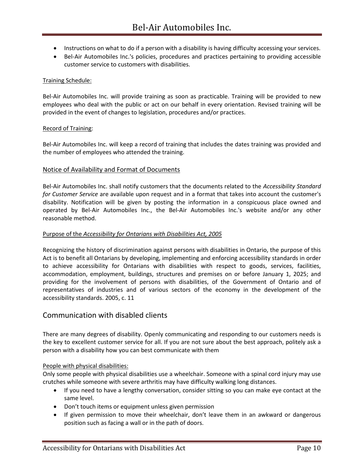- Instructions on what to do if a person with a disability is having difficulty accessing your services.
- Bel-Air Automobiles Inc.'s policies, procedures and practices pertaining to providing accessible customer service to customers with disabilities.

#### Training Schedule:

Bel-Air Automobiles Inc. will provide training as soon as practicable. Training will be provided to new employees who deal with the public or act on our behalf in every orientation. Revised training will be provided in the event of changes to legislation, procedures and/or practices.

#### Record of Training:

Bel-Air Automobiles Inc. will keep a record of training that includes the dates training was provided and the number of employees who attended the training.

#### Notice of Availability and Format of Documents

Bel-Air Automobiles Inc. shall notify customers that the documents related to the *Accessibility Standard for Customer Service* are available upon request and in a format that takes into account the customer's disability. Notification will be given by posting the information in a conspicuous place owned and operated by Bel-Air Automobiles Inc., the Bel-Air Automobiles Inc.'s website and/or any other reasonable method.

#### Purpose of the *Accessibility for Ontarians with Disabilities Act, 2005*

Recognizing the history of discrimination against persons with disabilities in Ontario, the purpose of this Act is to benefit all Ontarians by developing, implementing and enforcing accessibility standards in order to achieve accessibility for Ontarians with disabilities with respect to goods, services, facilities, accommodation, employment, buildings, structures and premises on or before January 1, 2025; and providing for the involvement of persons with disabilities, of the Government of Ontario and of representatives of industries and of various sectors of the economy in the development of the accessibility standards. 2005, c. 11

#### Communication with disabled clients

There are many degrees of disability. Openly communicating and responding to our customers needs is the key to excellent customer service for all. If you are not sure about the best approach, politely ask a person with a disability how you can best communicate with them

#### People with physical disabilities:

Only some people with physical disabilities use a wheelchair. Someone with a spinal cord injury may use crutches while someone with severe arthritis may have difficulty walking long distances.

- If you need to have a lengthy conversation, consider sitting so you can make eye contact at the same level.
- Don't touch items or equipment unless given permission
- If given permission to move their wheelchair, don't leave them in an awkward or dangerous position such as facing a wall or in the path of doors.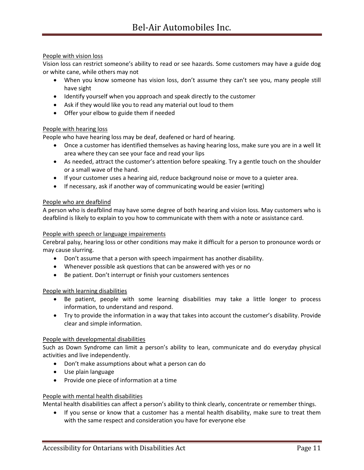#### People with vision loss

Vision loss can restrict someone's ability to read or see hazards. Some customers may have a guide dog or white cane, while others may not

- When you know someone has vision loss, don't assume they can't see you, many people still have sight
- Identify yourself when you approach and speak directly to the customer
- Ask if they would like you to read any material out loud to them
- Offer your elbow to guide them if needed

#### People with hearing loss

People who have hearing loss may be deaf, deafened or hard of hearing.

- Once a customer has identified themselves as having hearing loss, make sure you are in a well lit area where they can see your face and read your lips
- As needed, attract the customer's attention before speaking. Try a gentle touch on the shoulder or a small wave of the hand.
- If your customer uses a hearing aid, reduce background noise or move to a quieter area.
- If necessary, ask if another way of communicating would be easier (writing)

#### People who are deafblind

A person who is deafblind may have some degree of both hearing and vision loss. May customers who is deafblind is likely to explain to you how to communicate with them with a note or assistance card.

#### People with speech or language impairements

Cerebral palsy, hearing loss or other conditions may make it difficult for a person to pronounce words or may cause slurring.

- Don't assume that a person with speech impairment has another disability.
- Whenever possible ask questions that can be answered with yes or no
- Be patient. Don't interrupt or finish your customers sentences

#### People with learning disabilities

- Be patient, people with some learning disabilities may take a little longer to process information, to understand and respond.
- Try to provide the information in a way that takes into account the customer's disability. Provide clear and simple information.

#### People with developmental disabilities

Such as Down Syndrome can limit a person's ability to lean, communicate and do everyday physical activities and live independently.

- Don't make assumptions about what a person can do
- Use plain language
- Provide one piece of information at a time

#### People with mental health disabilities

Mental health disabilities can affect a person's ability to think clearly, concentrate or remember things.

• If you sense or know that a customer has a mental health disability, make sure to treat them with the same respect and consideration you have for everyone else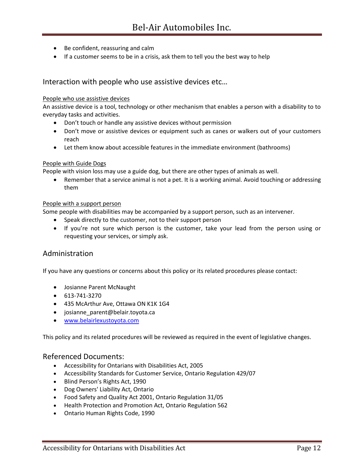- Be confident, reassuring and calm
- If a customer seems to be in a crisis, ask them to tell you the best way to help

#### Interaction with people who use assistive devices etc…

#### People who use assistive devices

An assistive device is a tool, technology or other mechanism that enables a person with a disability to to everyday tasks and activities.

- Don't touch or handle any assistive devices without permission
- Don't move or assistive devices or equipment such as canes or walkers out of your customers reach
- Let them know about accessible features in the immediate environment (bathrooms)

#### People with Guide Dogs

People with vision loss may use a guide dog, but there are other types of animals as well.

 Remember that a service animal is not a pet. It is a working animal. Avoid touching or addressing them

#### People with a support person

Some people with disabilities may be accompanied by a support person, such as an intervener.

- Speak directly to the customer, not to their support person
- If you're not sure which person is the customer, take your lead from the person using or requesting your services, or simply ask.

#### Administration

If you have any questions or concerns about this policy or its related procedures please contact:

- Josianne Parent McNaught
- 613-741-3270
- 435 McArthur Ave, Ottawa ON K1K 1G4
- josianne parent@belair.toyota.ca
- [www.belairlexustoyota.com](http://www.belairlexustoyota.com/)

This policy and its related procedures will be reviewed as required in the event of legislative changes.

#### Referenced Documents:

- Accessibility for Ontarians with Disabilities Act, 2005
- Accessibility Standards for Customer Service, Ontario Regulation 429/07
- Blind Person's Rights Act, 1990
- Dog Owners' Liability Act, Ontario
- Food Safety and Quality Act 2001, Ontario Regulation 31/05
- Health Protection and Promotion Act, Ontario Regulation 562
- Ontario Human Rights Code, 1990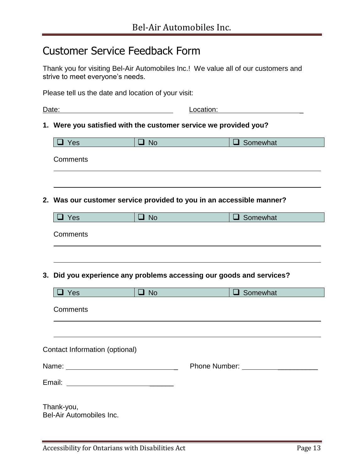## Customer Service Feedback Form

Thank you for visiting Bel-Air Automobiles Inc.! We value all of our customers and strive to meet everyone's needs.

Please tell us the date and location of your visit:

|       | Date:                                                                |           | Location:     |                 |  |  |  |
|-------|----------------------------------------------------------------------|-----------|---------------|-----------------|--|--|--|
|       | 1. Were you satisfied with the customer service we provided you?     |           |               |                 |  |  |  |
|       | $\Box$ Yes                                                           | $\Box$ No |               | $\Box$ Somewhat |  |  |  |
|       | Comments                                                             |           |               |                 |  |  |  |
|       |                                                                      |           |               |                 |  |  |  |
|       | 2. Was our customer service provided to you in an accessible manner? |           |               |                 |  |  |  |
|       | $\Box$ Yes                                                           | $\Box$ No |               | $\Box$ Somewhat |  |  |  |
|       | Comments                                                             |           |               |                 |  |  |  |
|       |                                                                      |           |               |                 |  |  |  |
|       | 3. Did you experience any problems accessing our goods and services? |           |               |                 |  |  |  |
|       | $\Box$ Yes                                                           | $\Box$ No |               | $\Box$ Somewhat |  |  |  |
|       | Comments                                                             |           |               |                 |  |  |  |
|       |                                                                      |           |               |                 |  |  |  |
|       | Contact Information (optional)                                       |           |               |                 |  |  |  |
| Name: |                                                                      |           | Phone Number: |                 |  |  |  |
|       | Email:                                                               |           |               |                 |  |  |  |
|       | Thank-you,<br>Bel-Air Automobiles Inc.                               |           |               |                 |  |  |  |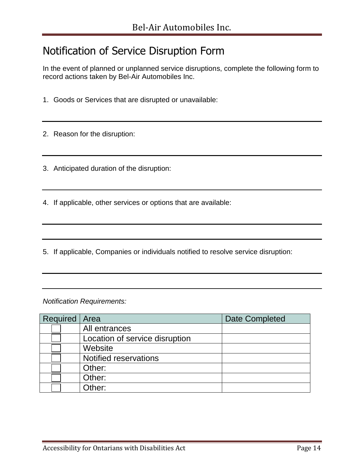## Notification of Service Disruption Form

In the event of planned or unplanned service disruptions, complete the following form to record actions taken by Bel-Air Automobiles Inc.

1. Goods or Services that are disrupted or unavailable:

2. Reason for the disruption:

- 3. Anticipated duration of the disruption:
- 4. If applicable, other services or options that are available:
- 5. If applicable, Companies or individuals notified to resolve service disruption:

*Notification Requirements:*

| Required   Area |                                | <b>Date Completed</b> |
|-----------------|--------------------------------|-----------------------|
|                 | All entrances                  |                       |
|                 | Location of service disruption |                       |
|                 | Website                        |                       |
|                 | <b>Notified reservations</b>   |                       |
|                 | Other:                         |                       |
|                 | Other:                         |                       |
|                 | Other:                         |                       |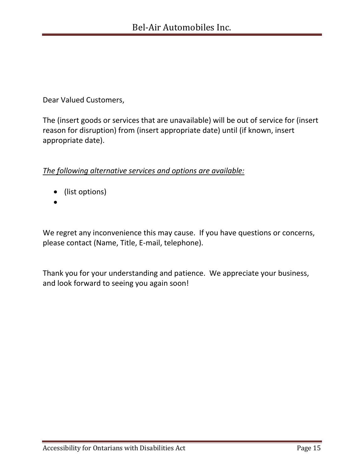Dear Valued Customers,

The (insert goods or services that are unavailable) will be out of service for (insert reason for disruption) from (insert appropriate date) until (if known, insert appropriate date).

#### *The following alternative services and options are available:*

- (list options)
- $\bullet$

We regret any inconvenience this may cause. If you have questions or concerns, please contact (Name, Title, E-mail, telephone).

Thank you for your understanding and patience. We appreciate your business, and look forward to seeing you again soon!